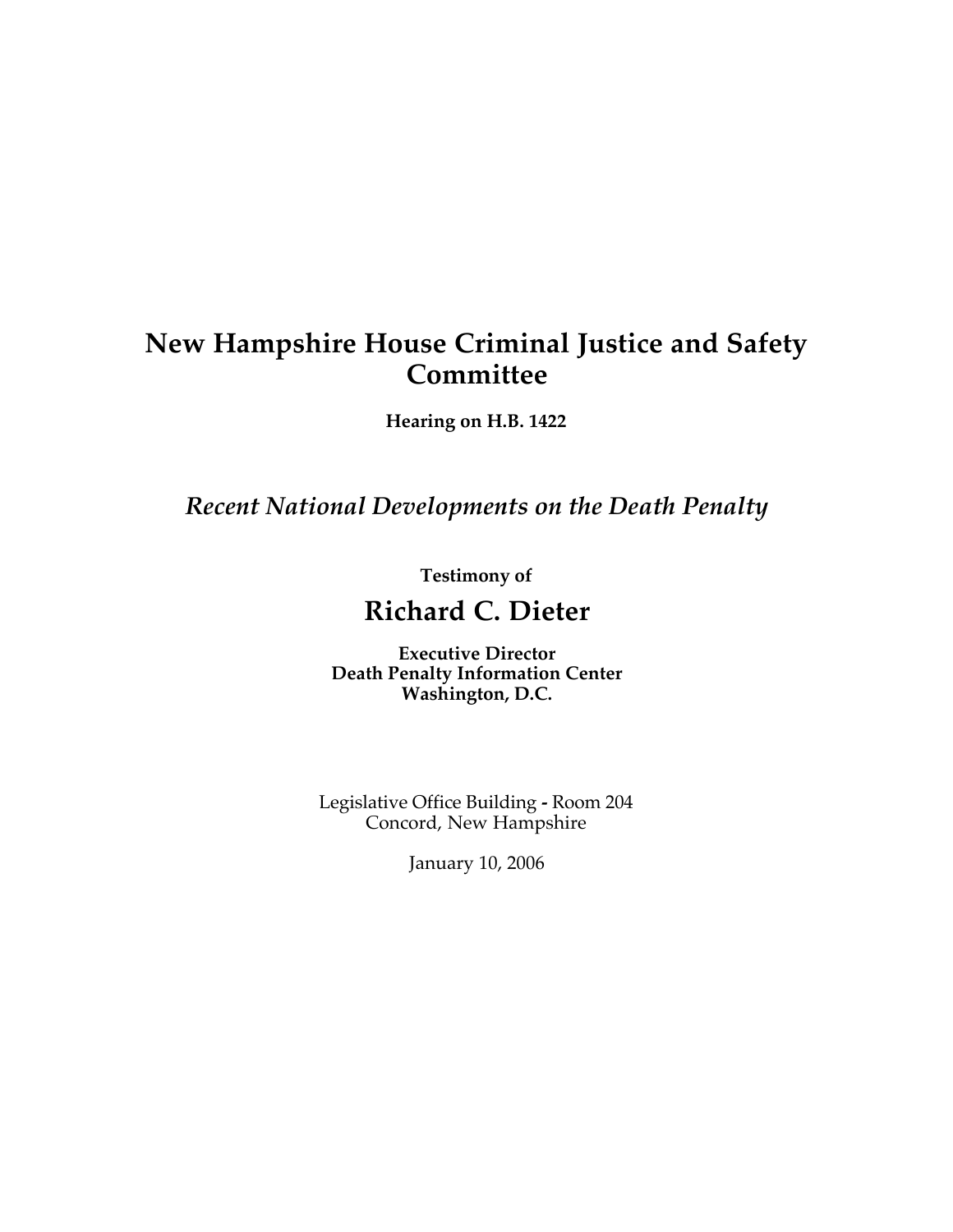# **New Hampshire House Criminal Justice and Safety Committee**

**Hearing on H.B. 1422**

*Recent National Developments on the Death Penalty*

**Testimony of**

## **Richard C. Dieter**

**Executive Director Death Penalty Information Center Washington, D.C.**

Legislative Office Building **-** Room 204 Concord, New Hampshire

January 10, 2006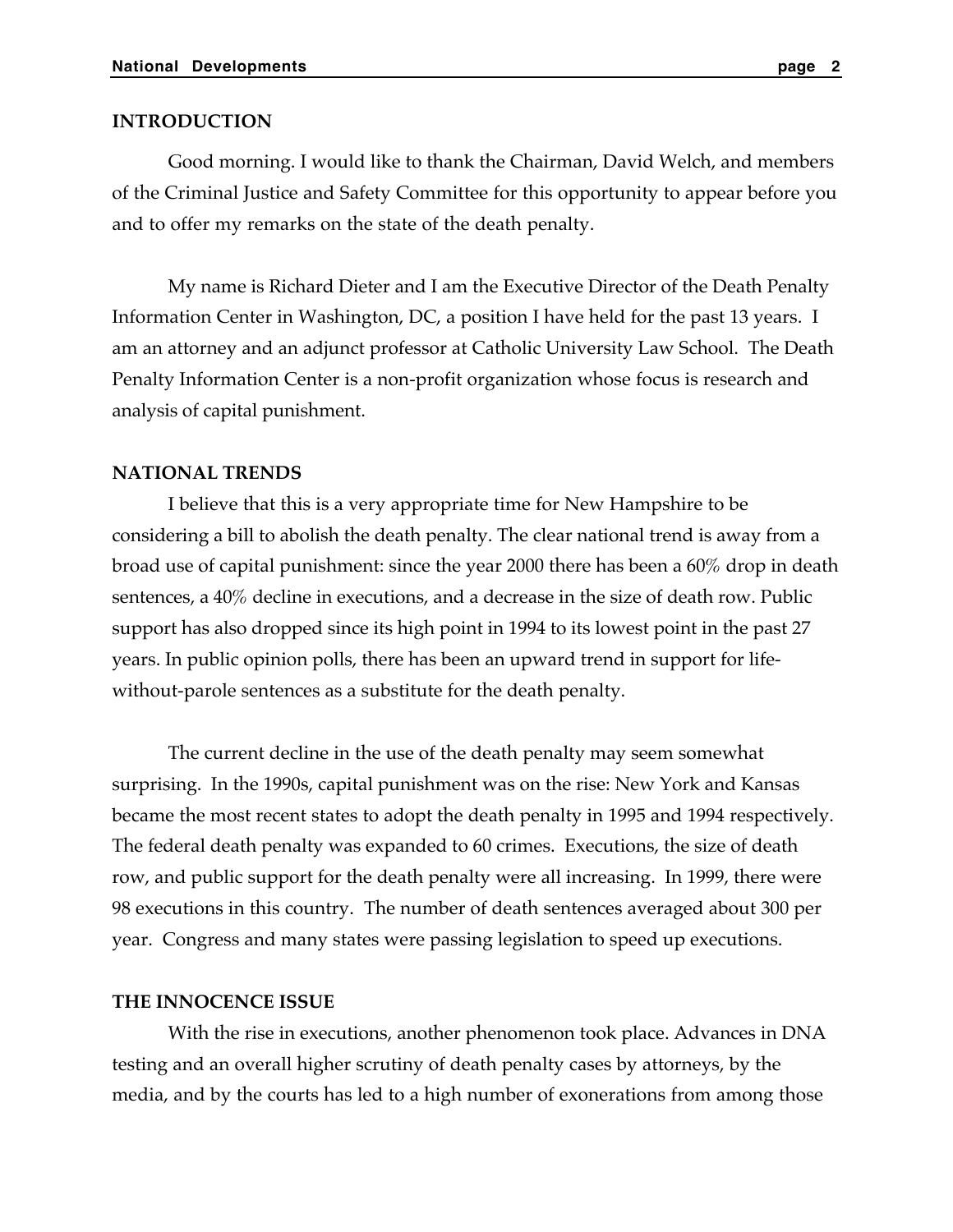#### **INTRODUCTION**

Good morning. I would like to thank the Chairman, David Welch, and members of the Criminal Justice and Safety Committee for this opportunity to appear before you and to offer my remarks on the state of the death penalty.

My name is Richard Dieter and I am the Executive Director of the Death Penalty Information Center in Washington, DC, a position I have held for the past 13 years. I am an attorney and an adjunct professor at Catholic University Law School. The Death Penalty Information Center is a non-profit organization whose focus is research and analysis of capital punishment.

#### **NATIONAL TRENDS**

I believe that this is a very appropriate time for New Hampshire to be considering a bill to abolish the death penalty. The clear national trend is away from a broad use of capital punishment: since the year 2000 there has been a 60% drop in death sentences, a 40% decline in executions, and a decrease in the size of death row. Public support has also dropped since its high point in 1994 to its lowest point in the past 27 years. In public opinion polls, there has been an upward trend in support for lifewithout-parole sentences as a substitute for the death penalty.

The current decline in the use of the death penalty may seem somewhat surprising. In the 1990s, capital punishment was on the rise: New York and Kansas became the most recent states to adopt the death penalty in 1995 and 1994 respectively. The federal death penalty was expanded to 60 crimes. Executions, the size of death row, and public support for the death penalty were all increasing. In 1999, there were 98 executions in this country. The number of death sentences averaged about 300 per year. Congress and many states were passing legislation to speed up executions.

#### **THE INNOCENCE ISSUE**

With the rise in executions, another phenomenon took place. Advances in DNA testing and an overall higher scrutiny of death penalty cases by attorneys, by the media, and by the courts has led to a high number of exonerations from among those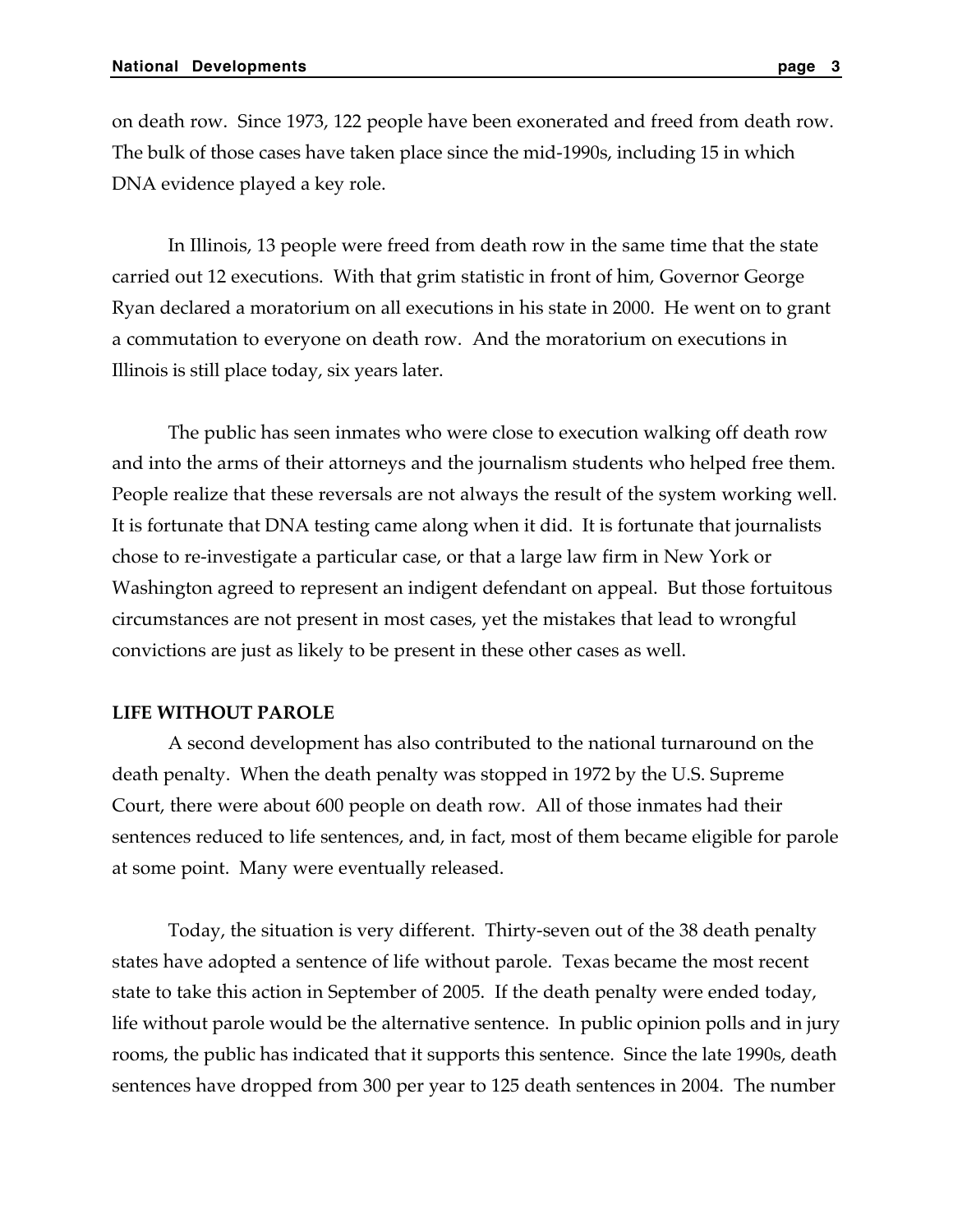on death row. Since 1973, 122 people have been exonerated and freed from death row. The bulk of those cases have taken place since the mid-1990s, including 15 in which DNA evidence played a key role.

In Illinois, 13 people were freed from death row in the same time that the state carried out 12 executions. With that grim statistic in front of him, Governor George Ryan declared a moratorium on all executions in his state in 2000. He went on to grant a commutation to everyone on death row. And the moratorium on executions in Illinois is still place today, six years later.

The public has seen inmates who were close to execution walking off death row and into the arms of their attorneys and the journalism students who helped free them. People realize that these reversals are not always the result of the system working well. It is fortunate that DNA testing came along when it did. It is fortunate that journalists chose to re-investigate a particular case, or that a large law firm in New York or Washington agreed to represent an indigent defendant on appeal. But those fortuitous circumstances are not present in most cases, yet the mistakes that lead to wrongful convictions are just as likely to be present in these other cases as well.

#### **LIFE WITHOUT PAROLE**

A second development has also contributed to the national turnaround on the death penalty. When the death penalty was stopped in 1972 by the U.S. Supreme Court, there were about 600 people on death row. All of those inmates had their sentences reduced to life sentences, and, in fact, most of them became eligible for parole at some point. Many were eventually released.

Today, the situation is very different. Thirty-seven out of the 38 death penalty states have adopted a sentence of life without parole. Texas became the most recent state to take this action in September of 2005. If the death penalty were ended today, life without parole would be the alternative sentence. In public opinion polls and in jury rooms, the public has indicated that it supports this sentence. Since the late 1990s, death sentences have dropped from 300 per year to 125 death sentences in 2004. The number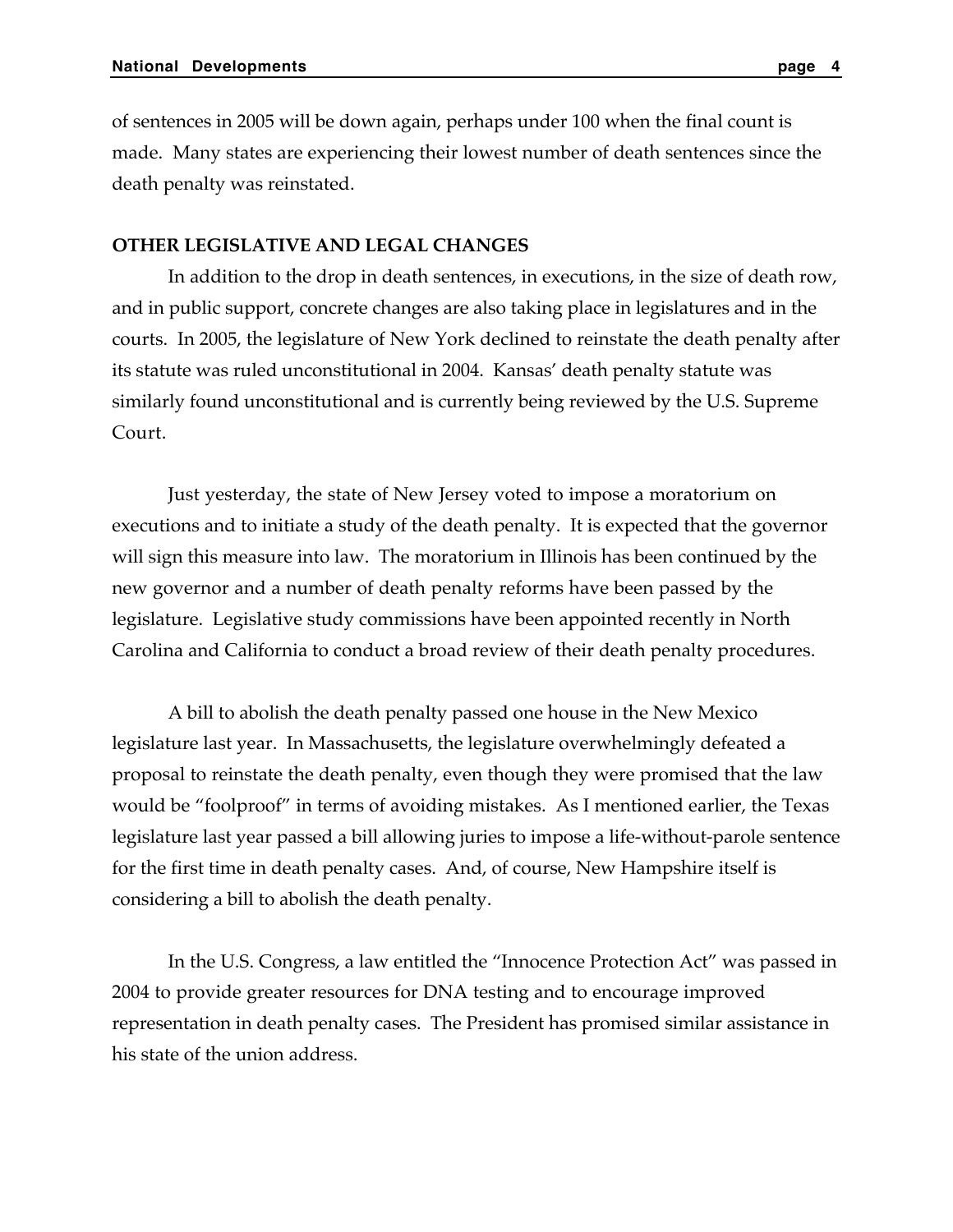of sentences in 2005 will be down again, perhaps under 100 when the final count is made. Many states are experiencing their lowest number of death sentences since the death penalty was reinstated.

#### **OTHER LEGISLATIVE AND LEGAL CHANGES**

In addition to the drop in death sentences, in executions, in the size of death row, and in public support, concrete changes are also taking place in legislatures and in the courts. In 2005, the legislature of New York declined to reinstate the death penalty after its statute was ruled unconstitutional in 2004. Kansas' death penalty statute was similarly found unconstitutional and is currently being reviewed by the U.S. Supreme Court.

Just yesterday, the state of New Jersey voted to impose a moratorium on executions and to initiate a study of the death penalty. It is expected that the governor will sign this measure into law. The moratorium in Illinois has been continued by the new governor and a number of death penalty reforms have been passed by the legislature. Legislative study commissions have been appointed recently in North Carolina and California to conduct a broad review of their death penalty procedures.

A bill to abolish the death penalty passed one house in the New Mexico legislature last year. In Massachusetts, the legislature overwhelmingly defeated a proposal to reinstate the death penalty, even though they were promised that the law would be "foolproof" in terms of avoiding mistakes. As I mentioned earlier, the Texas legislature last year passed a bill allowing juries to impose a life-without-parole sentence for the first time in death penalty cases. And, of course, New Hampshire itself is considering a bill to abolish the death penalty.

In the U.S. Congress, a law entitled the "Innocence Protection Act" was passed in 2004 to provide greater resources for DNA testing and to encourage improved representation in death penalty cases. The President has promised similar assistance in his state of the union address.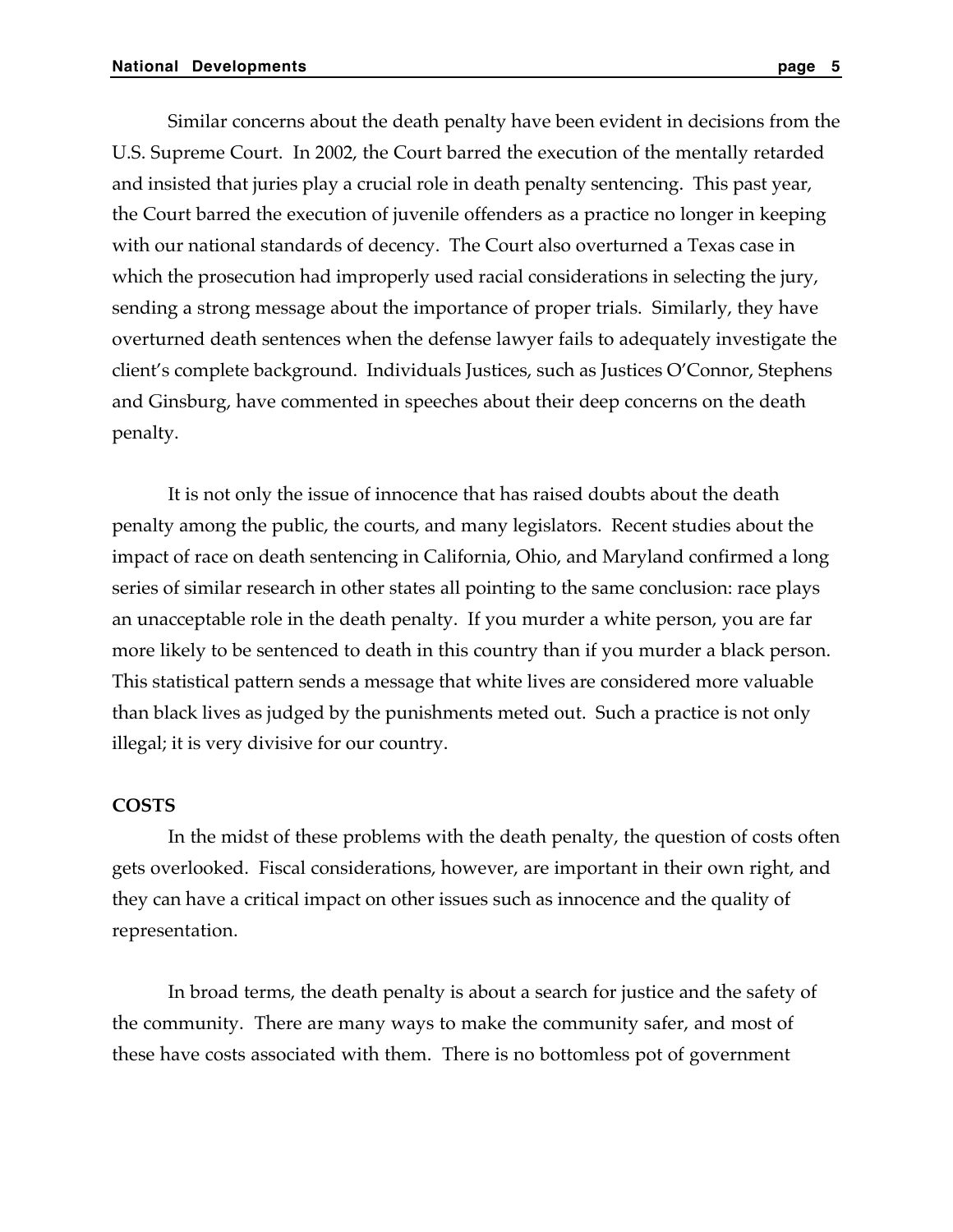Similar concerns about the death penalty have been evident in decisions from the U.S. Supreme Court. In 2002, the Court barred the execution of the mentally retarded and insisted that juries play a crucial role in death penalty sentencing. This past year, the Court barred the execution of juvenile offenders as a practice no longer in keeping with our national standards of decency. The Court also overturned a Texas case in which the prosecution had improperly used racial considerations in selecting the jury, sending a strong message about the importance of proper trials. Similarly, they have overturned death sentences when the defense lawyer fails to adequately investigate the client's complete background. Individuals Justices, such as Justices O'Connor, Stephens and Ginsburg, have commented in speeches about their deep concerns on the death penalty.

It is not only the issue of innocence that has raised doubts about the death penalty among the public, the courts, and many legislators. Recent studies about the impact of race on death sentencing in California, Ohio, and Maryland confirmed a long series of similar research in other states all pointing to the same conclusion: race plays an unacceptable role in the death penalty. If you murder a white person, you are far more likely to be sentenced to death in this country than if you murder a black person. This statistical pattern sends a message that white lives are considered more valuable than black lives as judged by the punishments meted out. Such a practice is not only illegal; it is very divisive for our country.

#### **COSTS**

In the midst of these problems with the death penalty, the question of costs often gets overlooked. Fiscal considerations, however, are important in their own right, and they can have a critical impact on other issues such as innocence and the quality of representation.

In broad terms, the death penalty is about a search for justice and the safety of the community. There are many ways to make the community safer, and most of these have costs associated with them. There is no bottomless pot of government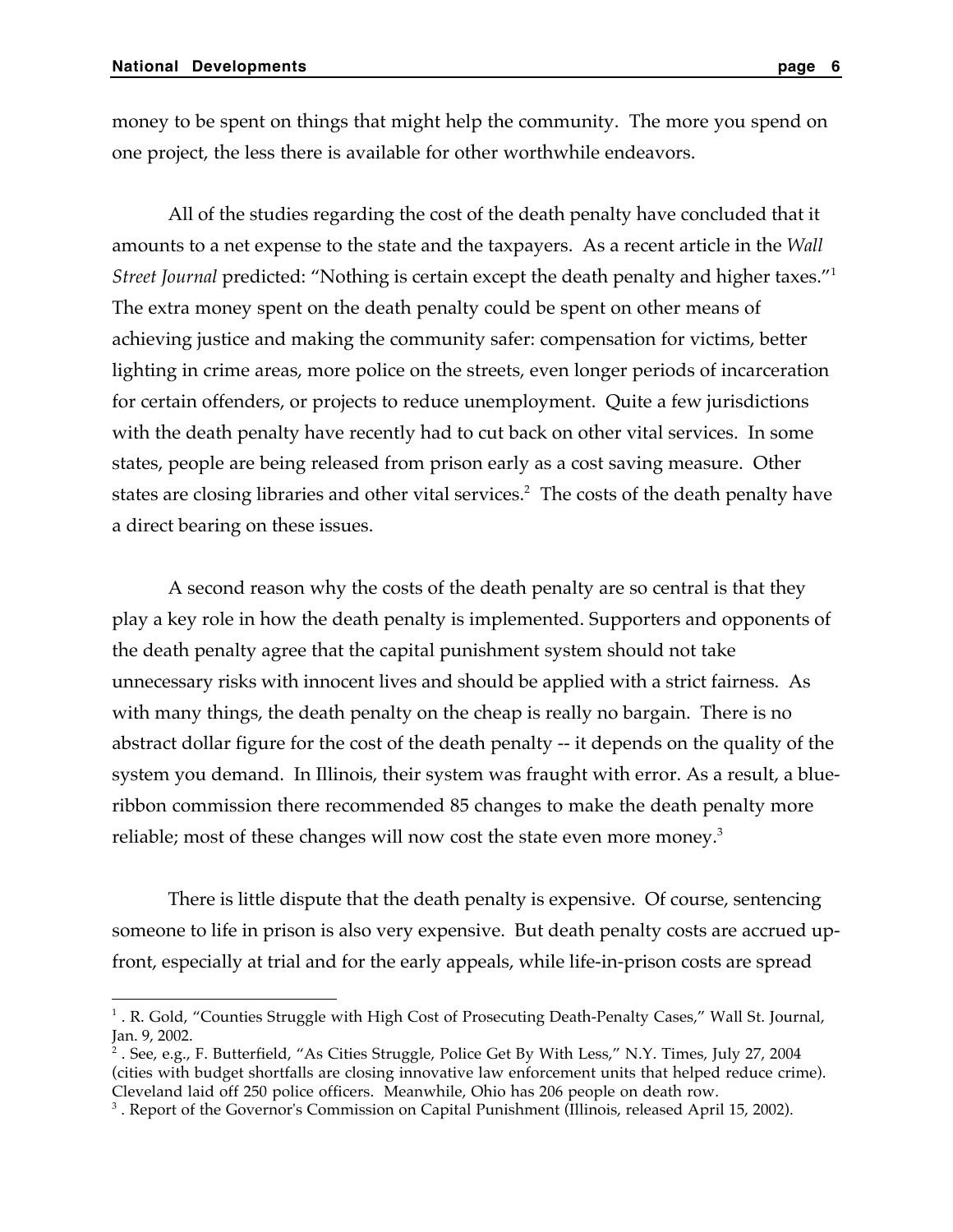$\overline{a}$ 

money to be spent on things that might help the community. The more you spend on one project, the less there is available for other worthwhile endeavors.

All of the studies regarding the cost of the death penalty have concluded that it amounts to a net expense to the state and the taxpayers. As a recent article in the *Wall Street Journal* predicted: "Nothing is certain except the death penalty and higher taxes."<sup>1</sup> The extra money spent on the death penalty could be spent on other means of achieving justice and making the community safer: compensation for victims, better lighting in crime areas, more police on the streets, even longer periods of incarceration for certain offenders, or projects to reduce unemployment. Quite a few jurisdictions with the death penalty have recently had to cut back on other vital services. In some states, people are being released from prison early as a cost saving measure. Other states are closing libraries and other vital services. $^2$  The costs of the death penalty have a direct bearing on these issues.

A second reason why the costs of the death penalty are so central is that they play a key role in how the death penalty is implemented. Supporters and opponents of the death penalty agree that the capital punishment system should not take unnecessary risks with innocent lives and should be applied with a strict fairness. As with many things, the death penalty on the cheap is really no bargain. There is no abstract dollar figure for the cost of the death penalty -- it depends on the quality of the system you demand. In Illinois, their system was fraught with error. As a result, a blueribbon commission there recommended 85 changes to make the death penalty more reliable; most of these changes will now cost the state even more money.<sup>3</sup>

There is little dispute that the death penalty is expensive. Of course, sentencing someone to life in prison is also very expensive. But death penalty costs are accrued upfront, especially at trial and for the early appeals, while life-in-prison costs are spread

<sup>&</sup>lt;sup>1</sup>. R. Gold, "Counties Struggle with High Cost of Prosecuting Death-Penalty Cases," Wall St. Journal, Jan. 9, 2002.

<sup>&</sup>lt;sup>2</sup>. See, e.g., F. Butterfield, "As Cities Struggle, Police Get By With Less," N.Y. Times, July 27, 2004 (cities with budget shortfalls are closing innovative law enforcement units that helped reduce crime). Cleveland laid off 250 police officers. Meanwhile, Ohio has 206 people on death row.

<sup>&</sup>lt;sup>3</sup>. Report of the Governor's Commission on Capital Punishment (Illinois, released April 15, 2002).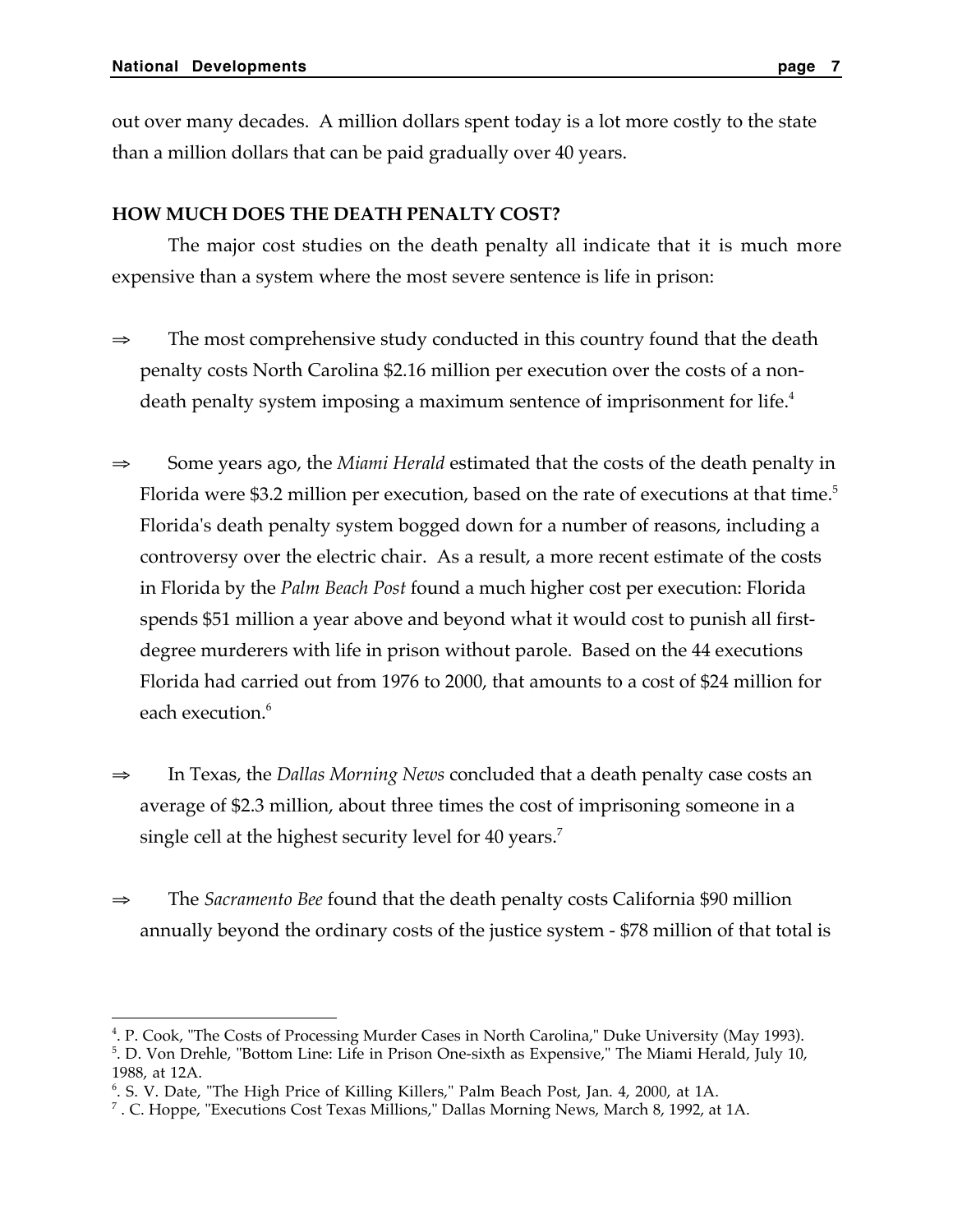out over many decades. A million dollars spent today is a lot more costly to the state than a million dollars that can be paid gradually over 40 years.

### **HOW MUCH DOES THE DEATH PENALTY COST?**

The major cost studies on the death penalty all indicate that it is much more expensive than a system where the most severe sentence is life in prison:

- ⇒ The most comprehensive study conducted in this country found that the death penalty costs North Carolina \$2.16 million per execution over the costs of a nondeath penalty system imposing a maximum sentence of imprisonment for life.<sup>4</sup>
- ⇒ Some years ago, the *Miami Herald* estimated that the costs of the death penalty in Florida were \$3.2 million per execution, based on the rate of executions at that time. $\delta$ Florida's death penalty system bogged down for a number of reasons, including a controversy over the electric chair. As a result, a more recent estimate of the costs in Florida by the *Palm Beach Post* found a much higher cost per execution: Florida spends \$51 million a year above and beyond what it would cost to punish all firstdegree murderers with life in prison without parole. Based on the 44 executions Florida had carried out from 1976 to 2000, that amounts to a cost of \$24 million for each execution.<sup>6</sup>
- ⇒ In Texas, the *Dallas Morning News* concluded that a death penalty case costs an average of \$2.3 million, about three times the cost of imprisoning someone in a single cell at the highest security level for 40 years.<sup>7</sup>
- ⇒ The *Sacramento Bee* found that the death penalty costs California \$90 million annually beyond the ordinary costs of the justice system - \$78 million of that total is

 $\overline{a}$ 4 . P. Cook, "The Costs of Processing Murder Cases in North Carolina," Duke University (May 1993).

<sup>&</sup>lt;sup>5</sup>. D. Von Drehle, "Bottom Line: Life in Prison One-sixth as Expensive," The Miami Herald, July 10, 1988, at 12A.

<sup>6</sup> . S. V. Date, "The High Price of Killing Killers," Palm Beach Post, Jan. 4, 2000, at 1A.

<sup>7</sup> . C. Hoppe, "Executions Cost Texas Millions," Dallas Morning News, March 8, 1992, at 1A.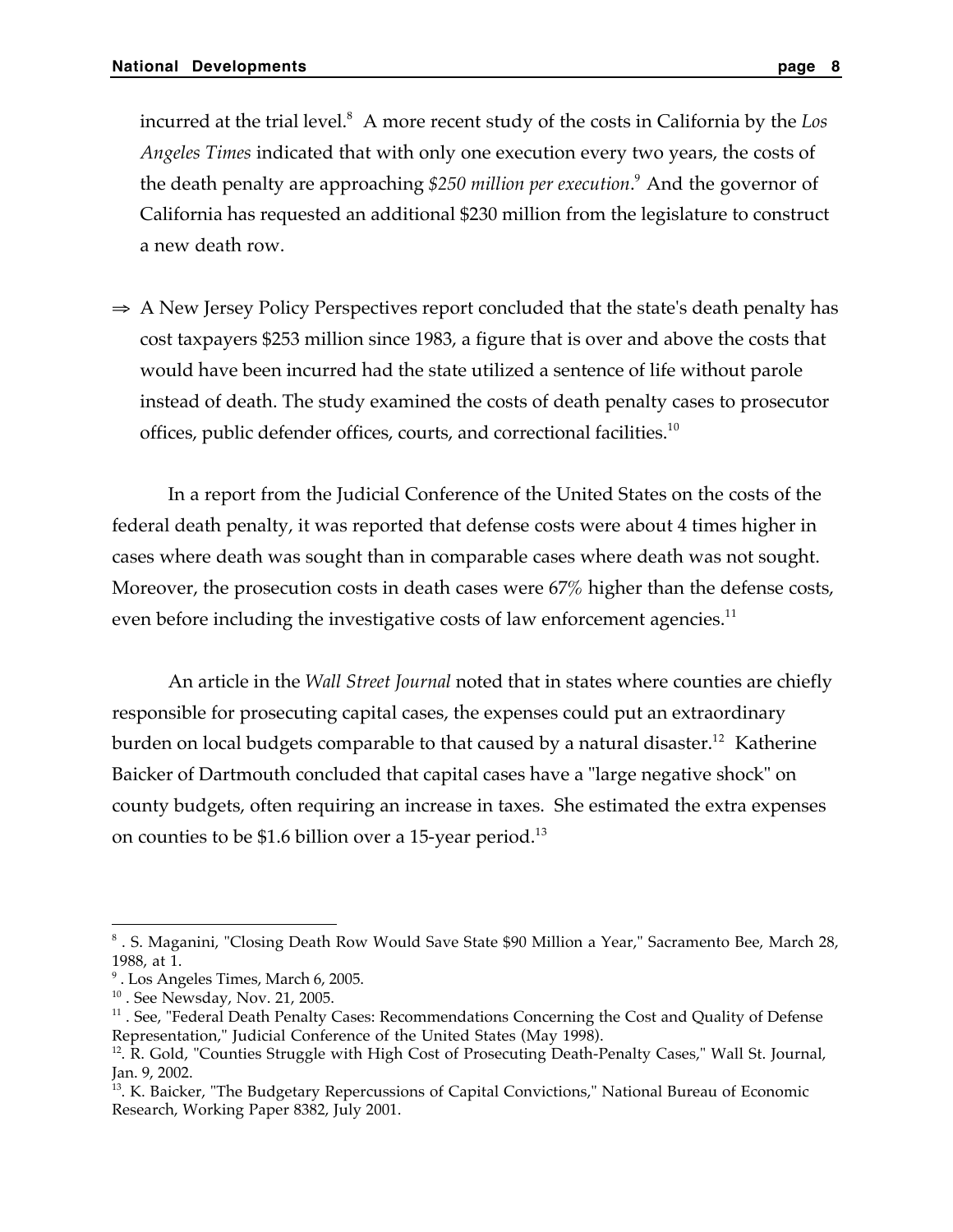incurred at the trial level.<sup>8</sup> A more recent study of the costs in California by the *Los Angeles Times* indicated that with only one execution every two years, the costs of the death penalty are approaching *\$250 million per execution*. <sup>9</sup> And the governor of California has requested an additional \$230 million from the legislature to construct a new death row.

 $\Rightarrow$  A New Jersey Policy Perspectives report concluded that the state's death penalty has cost taxpayers \$253 million since 1983, a figure that is over and above the costs that would have been incurred had the state utilized a sentence of life without parole instead of death. The study examined the costs of death penalty cases to prosecutor offices, public defender offices, courts, and correctional facilities.<sup>10</sup>

In a report from the Judicial Conference of the United States on the costs of the federal death penalty, it was reported that defense costs were about 4 times higher in cases where death was sought than in comparable cases where death was not sought. Moreover, the prosecution costs in death cases were 67% higher than the defense costs, even before including the investigative costs of law enforcement agencies.<sup>11</sup>

An article in the *Wall Street Journal* noted that in states where counties are chiefly responsible for prosecuting capital cases, the expenses could put an extraordinary burden on local budgets comparable to that caused by a natural disaster. $^{12}\,$  Katherine Baicker of Dartmouth concluded that capital cases have a "large negative shock" on county budgets, often requiring an increase in taxes. She estimated the extra expenses on counties to be \$1.6 billion over a 15-year period.<sup>13</sup>

 $\overline{a}$ <sup>8</sup> . S. Maganini, "Closing Death Row Would Save State \$90 Million a Year," Sacramento Bee, March 28, 1988, at 1.

<sup>9</sup> . Los Angeles Times, March 6, 2005.

 $10$ . See Newsday, Nov. 21, 2005.

<sup>&</sup>lt;sup>11</sup>. See, "Federal Death Penalty Cases: Recommendations Concerning the Cost and Quality of Defense Representation," Judicial Conference of the United States (May 1998).

<sup>&</sup>lt;sup>12</sup>. R. Gold, "Counties Struggle with High Cost of Prosecuting Death-Penalty Cases," Wall St. Journal, Jan. 9, 2002.

<sup>&</sup>lt;sup>13</sup>. K. Baicker, "The Budgetary Repercussions of Capital Convictions," National Bureau of Economic Research, Working Paper 8382, July 2001.